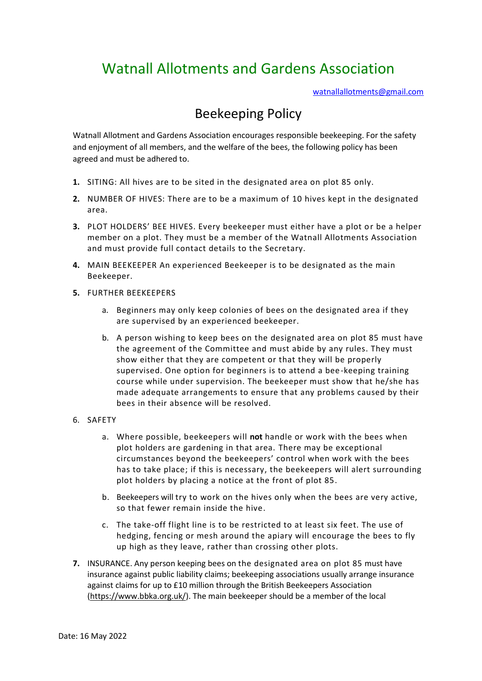## Watnall Allotments and Gardens Association

[watnallallotments@gmail.com](mailto:watnallallotments@gmail.com)

## Beekeeping Policy

Watnall Allotment and Gardens Association encourages responsible beekeeping. For the safety and enjoyment of all members, and the welfare of the bees, the following policy has been agreed and must be adhered to.

- **1.** SITING: All hives are to be sited in the designated area on plot 85 only.
- **2.** NUMBER OF HIVES: There are to be a maximum of 10 hives kept in the designated area.
- **3.** PLOT HOLDERS' BEE HIVES. Every beekeeper must either have a plot or be a helper member on a plot. They must be a member of the Watnall Allotments Association and must provide full contact details to the Secretary.
- **4.** MAIN BEEKEEPER An experienced Beekeeper is to be designated as the main Beekeeper.
- **5.** FURTHER BEEKEEPERS
	- a. Beginners may only keep colonies of bees on the designated area if they are supervised by an experienced beekeeper.
	- b. A person wishing to keep bees on the designated area on plot 85 must have the agreement of the Committee and must abide by any rules. They must show either that they are competent or that they will be properly supervised. One option for beginners is to attend a bee-keeping training course while under supervision. The beekeeper must show that he/she has made adequate arrangements to ensure that any problems caused by their bees in their absence will be resolved.
- 6. SAFETY
	- a. Where possible, beekeepers will **not** handle or work with the bees when plot holders are gardening in that area. There may be exceptional circumstances beyond the beekeepers' control when work with the bees has to take place; if this is necessary, the beekeepers will alert surrounding plot holders by placing a notice at the front of plot 85.
	- b. Beekeepers will try to work on the hives only when the bees are very active, so that fewer remain inside the hive.
	- c. The take-off flight line is to be restricted to at least six feet. The use of hedging, fencing or mesh around the apiary will encourage the bees to fly up high as they leave, rather than crossing other plots.
- **7.** INSURANCE. Any person keeping bees on the designated area on plot 85 must have insurance against public liability claims; beekeeping associations usually arrange insurance against claims for up to £10 million through the British Beekeepers Association [\(https://www.bbka.org.uk/\)](https://www.bbka.org.uk/). The main beekeeper should be a member of the local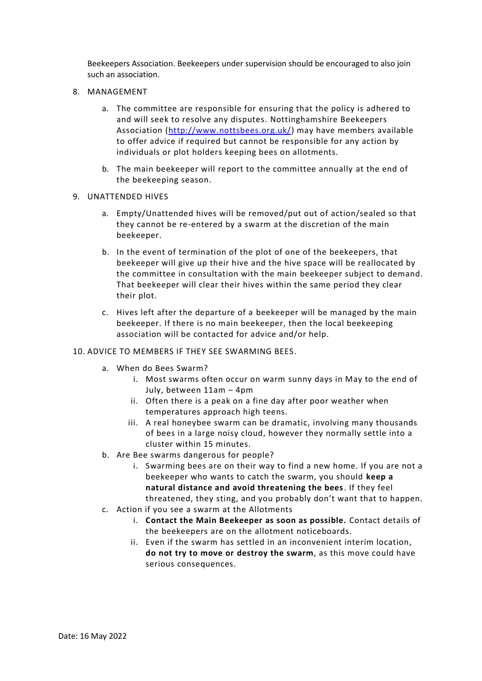Beekeepers Association. Beekeepers under supervision should be encouraged to also join such an association.

- 8. MANAGEMENT
	- a. The committee are responsible for ensuring that the policy is adhered to and will seek to resolve any disputes. Nottinghamshire Beekeepers Association [\(http://www.nottsbees.org.uk/\)](http://www.nottsbees.org.uk/) may have members available to offer advice if required but cannot be responsible for any action by individuals or plot holders keeping bees on allotments.
	- b. The main beekeeper will report to the committee annually at the end of the beekeeping season.
- 9. UNATTENDED HIVES
	- a. Empty/Unattended hives will be removed/put out of action/sealed so that they cannot be re-entered by a swarm at the discretion of the main beekeeper.
	- b. In the event of termination of the plot of one of the beekeepers, that beekeeper will give up their hive and the hive space will be reallocated by the committee in consultation with the main beekeeper subject to demand. That beekeeper will clear their hives within the same period they clear their plot.
	- c. Hives left after the departure of a beekeeper will be managed by the main beekeeper. If there is no main beekeeper, then the local beekeeping association will be contacted for advice and/or help.

## 10. ADVICE TO MEMBERS IF THEY SEE SWARMING BEES.

- a. When do Bees Swarm?
	- i. Most swarms often occur on warm sunny days in May to the end of July, between 11am – 4pm
	- ii. Often there is a peak on a fine day after poor weather when temperatures approach high teens.
	- iii. A real honeybee swarm can be dramatic, involving many thousands of bees in a large noisy cloud, however they normally settle into a cluster within 15 minutes.
- b. Are Bee swarms dangerous for people?
	- i. Swarming bees are on their way to find a new home. If you are not a beekeeper who wants to catch the swarm, you should **keep a natural distance and avoid threatening the bees**. If they feel threatened, they sting, and you probably don't want that to happen.
- c. Action if you see a swarm at the Allotments
	- i. **Contact the Main Beekeeper as soon as possible.** Contact details of the beekeepers are on the allotment noticeboards.
	- ii. Even if the swarm has settled in an inconvenient interim location, **do not try to move or destroy the swarm**, as this move could have serious consequences.